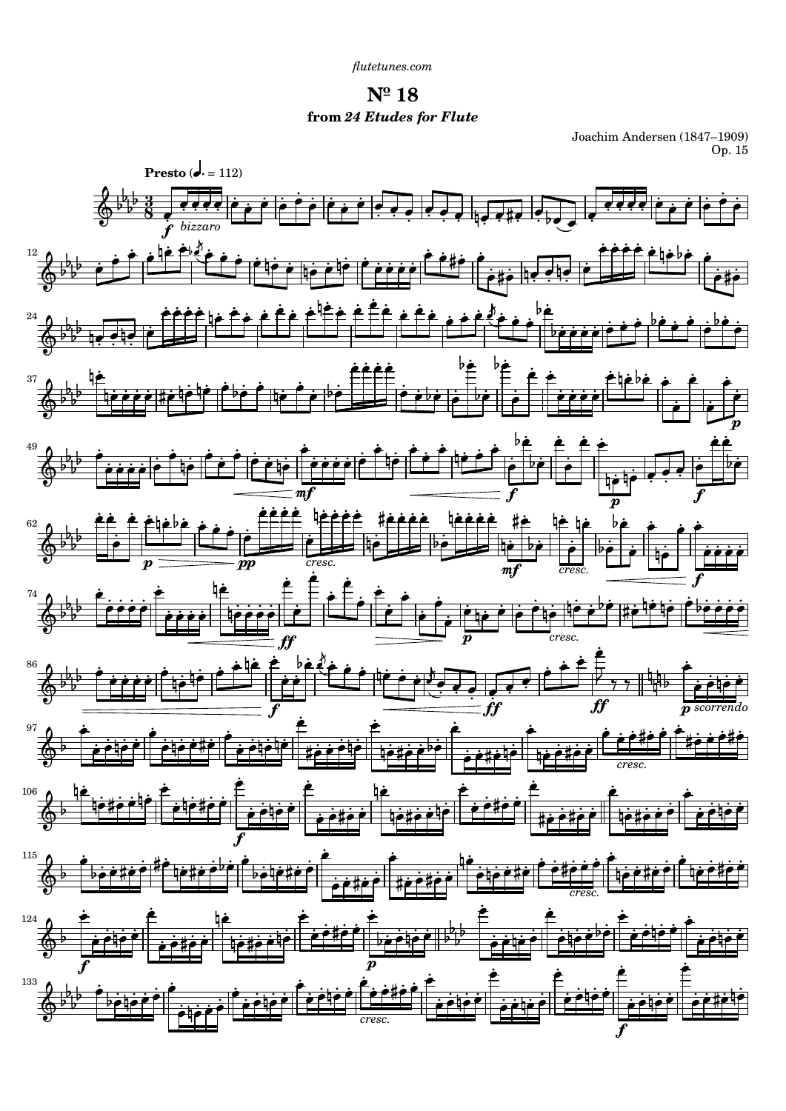$N^{\circ}$  18 from 24 Etudes for Flute

Joachim Andersen (1847–1909)<br>Op. 15